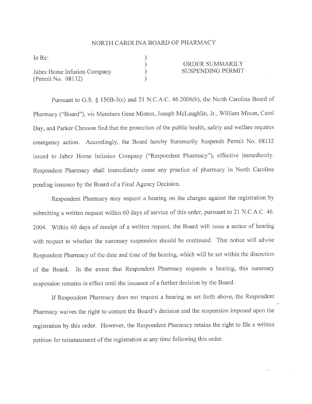## NORTH CAROLINA BOARD OF PHARMACY

) ) ) )

In Re

Jabez Home Infusion Company (Perrnit No. 08132)

## ORDER SUMMARILY SUSPENDING PERMIT

Pursuant to G.S. § 150B-3(c) and 21 N.C.A.C. 46.2006(b), the North Carolina Board of Pharmacy ("Board"), vis Members Gene Minton, Joseph Mclaughlin, Jr., William Mixon, Carol Day, and Parker Chesson find that the protection of the public health, safety and welfare requires emergency action. Accordingly, the Board hereby Summarily Suspends Permit No. <sup>08132</sup> issued to Jabez Home Infusion Company ("Respondent Pharmacy"), effective immediately. Respondent Pharmacy shall immediately cease any practice of pharmacy in North Carolina pending issuance by the Board of a Final Agency Decision.

Respondent Pharmacy may request a hearing on the charges against the registration by submitting a written request within 60 days of service of this order, pursuant to 21 N.C.A.C. 46. 2004. Within 60 days of receipt of a written request, the Board will issue a notice of hearing with respect to whether the summary suspension should be continued. That notice will advise Respondent Pharmacy of the date and time of the hearing, which will be set within the discretion of the Board. In the event that Respondent Pharmacy requests a hearing, this summary suspension remains in effect until the issuance of a further decision by the Board.

If Respondent Pharmacy does not request a hearing as set forth above, the Respondent Pharmacy waives the right to contest the Board's decision and the suspension imposed upon the registration by this order. However, the Respondent Pharmacy retains the right to file a written petition for reinstatement of the registration at any time following this order.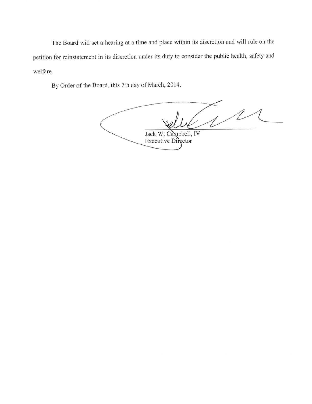The Board will set a hearing at a time and place within its discretion and will rule on the petition for reinstatement in its discretion under its duty to consider the public health, safety and welfare.

By Order of the Board, this 7th day of March, 2014.

 $\mathcal{U}^{\mathcal{U}}$ Jack W. Campbell, IV Executive Director